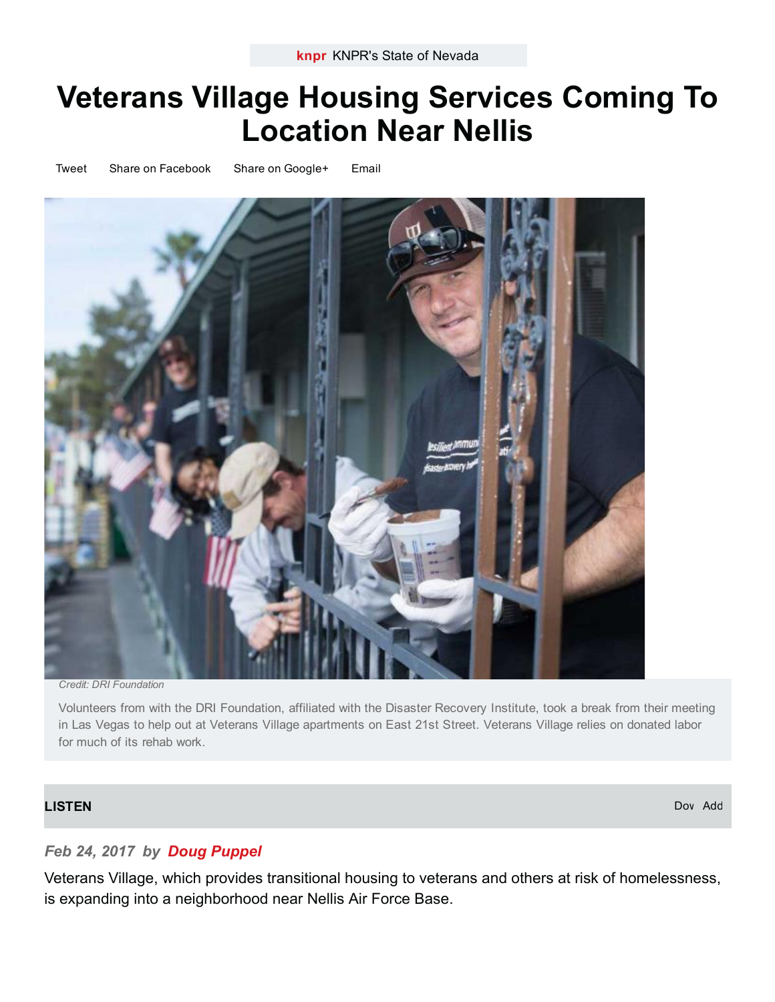# Veterans Village Housing Services Coming To Location Near Nellis

[Tweet](https://www.addthis.com/bookmark.php?v=300) Share on [Facebook](https://www.addthis.com/bookmark.php?v=300) Share on [Google+](https://www.addthis.com/bookmark.php?v=300) [Email](https://www.addthis.com/bookmark.php?v=300)



Credit: DRI Foundation

Volunteers from with the DRI Foundation, affiliated with the Disaster Recovery Institute, took a break from their meeting in Las Vegas to help out at Veterans Village apartments on East 21st Street. Veterans Village relies on donated labor for much of its rehab work.

#### [LISTEN](https://knpr.org/sites/default/files/public/audio/170217_veterans_village_web.mp3)

Dov Add

### Feb 24, 2017 by Doug [Puppel](https://knpr.org/about/staff/doug-puppel)

Veterans Village, which provides transitional housing to veterans and others at risk of homelessness, is expanding into a neighborhood near Nellis Air Force Base.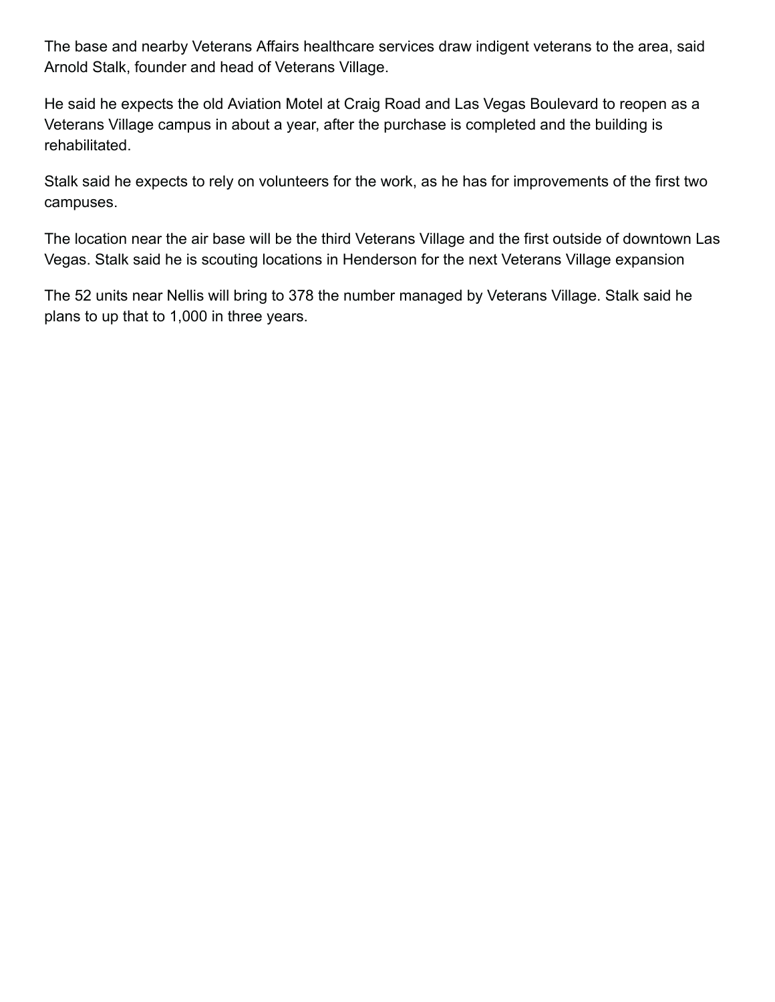The base and nearby Veterans Affairs healthcare services draw indigent veterans to the area, said Arnold Stalk, founder and head of Veterans Village.

He said he expects the old Aviation Motel at Craig Road and Las Vegas Boulevard to reopen as a Veterans Village campus in about a year, after the purchase is completed and the building is rehabilitated.

Stalk said he expects to rely on volunteers for the work, as he has for improvements of the first two campuses.

The location near the air base will be the third Veterans Village and the first outside of downtown Las Vegas. Stalk said he is scouting locations in Henderson for the next Veterans Village expansion

The 52 units near Nellis will bring to 378 the number managed by Veterans Village. Stalk said he plans to up that to 1,000 in three years.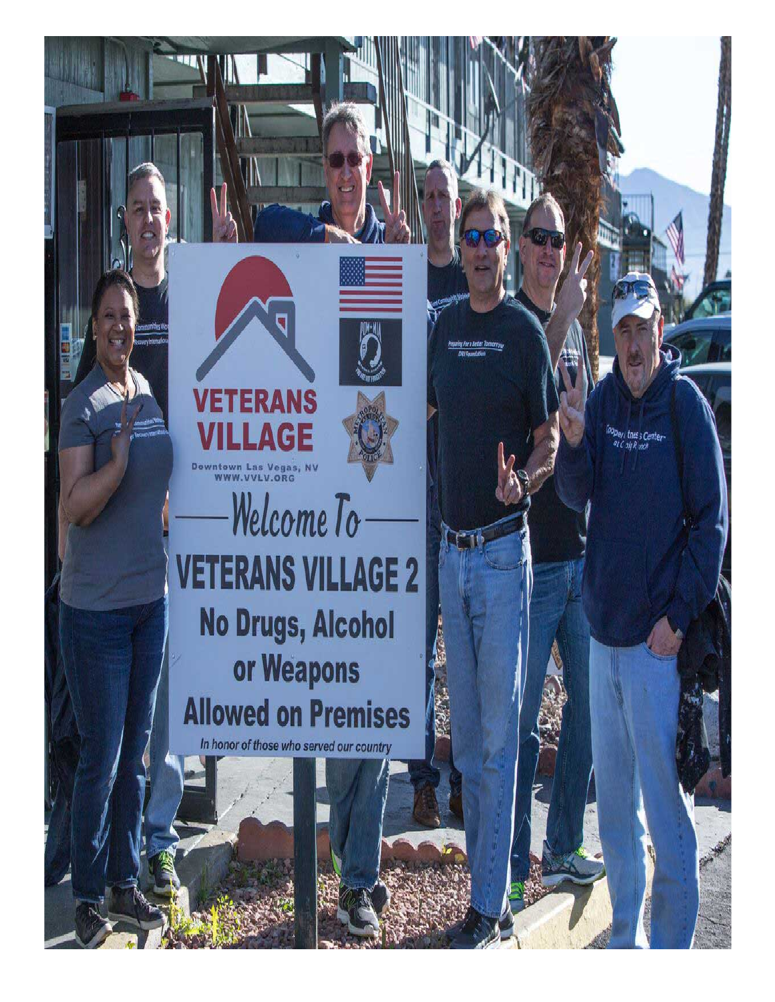